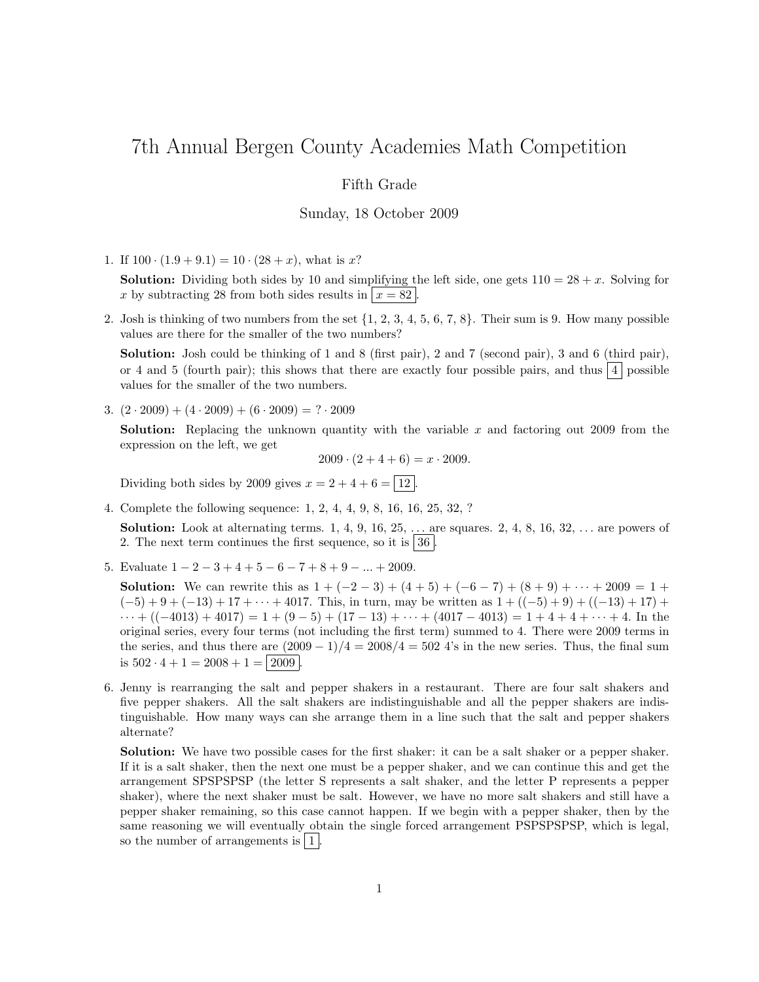# 7th Annual Bergen County Academies Math Competition

## Fifth Grade

### Sunday, 18 October 2009

1. If  $100 \cdot (1.9 + 9.1) = 10 \cdot (28 + x)$ , what is x?

**Solution:** Dividing both sides by 10 and simplifying the left side, one gets  $110 = 28 + x$ . Solving for x by subtracting 28 from both sides results in  $x = 82$ .

2. Josh is thinking of two numbers from the set  $\{1, 2, 3, 4, 5, 6, 7, 8\}$ . Their sum is 9. How many possible values are there for the smaller of the two numbers?

Solution: Josh could be thinking of 1 and 8 (first pair), 2 and 7 (second pair), 3 and 6 (third pair), or 4 and 5 (fourth pair); this shows that there are exactly four possible pairs, and thus  $\boxed{4}$  possible values for the smaller of the two numbers.

3.  $(2 \cdot 2009) + (4 \cdot 2009) + (6 \cdot 2009) = ? \cdot 2009$ 

**Solution:** Replacing the unknown quantity with the variable x and factoring out 2009 from the expression on the left, we get

 $2009 \cdot (2 + 4 + 6) = x \cdot 2009.$ 

Dividing both sides by 2009 gives  $x = 2 + 4 + 6 = \boxed{12}$ .

4. Complete the following sequence: 1, 2, 4, 4, 9, 8, 16, 16, 25, 32, ?

**Solution:** Look at alternating terms.  $1, 4, 9, 16, 25, \ldots$  are squares.  $2, 4, 8, 16, 32, \ldots$  are powers of 2. The next term continues the first sequence, so it is  $|36|$ .

5. Evaluate  $1 - 2 - 3 + 4 + 5 - 6 - 7 + 8 + 9 - \dots + 2009$ .

**Solution:** We can rewrite this as  $1 + (-2 - 3) + (4 + 5) + (-6 - 7) + (8 + 9) + \cdots + 2009 = 1 +$  $(-5) + 9 + (-13) + 17 + \cdots + 4017$ . This, in turn, may be written as  $1 + ((-5) + 9) + ((-13) + 17) +$  $\cdots + ((-4013) + 4017) = 1 + (9-5) + (17-13) + \cdots + (4017-4013) = 1 + 4 + 4 + \cdots + 4$ . In the original series, every four terms (not including the first term) summed to 4. There were 2009 terms in the series, and thus there are  $(2009 - 1)/4 = 2008/4 = 502$  4's in the new series. Thus, the final sum is  $502 \cdot 4 + 1 = 2008 + 1 = 2009$ .

6. Jenny is rearranging the salt and pepper shakers in a restaurant. There are four salt shakers and five pepper shakers. All the salt shakers are indistinguishable and all the pepper shakers are indistinguishable. How many ways can she arrange them in a line such that the salt and pepper shakers alternate?

Solution: We have two possible cases for the first shaker: it can be a salt shaker or a pepper shaker. If it is a salt shaker, then the next one must be a pepper shaker, and we can continue this and get the arrangement SPSPSPSP (the letter S represents a salt shaker, and the letter P represents a pepper shaker), where the next shaker must be salt. However, we have no more salt shakers and still have a pepper shaker remaining, so this case cannot happen. If we begin with a pepper shaker, then by the same reasoning we will eventually obtain the single forced arrangement PSPSPSPSP, which is legal, so the number of arrangements is  $|1|$ .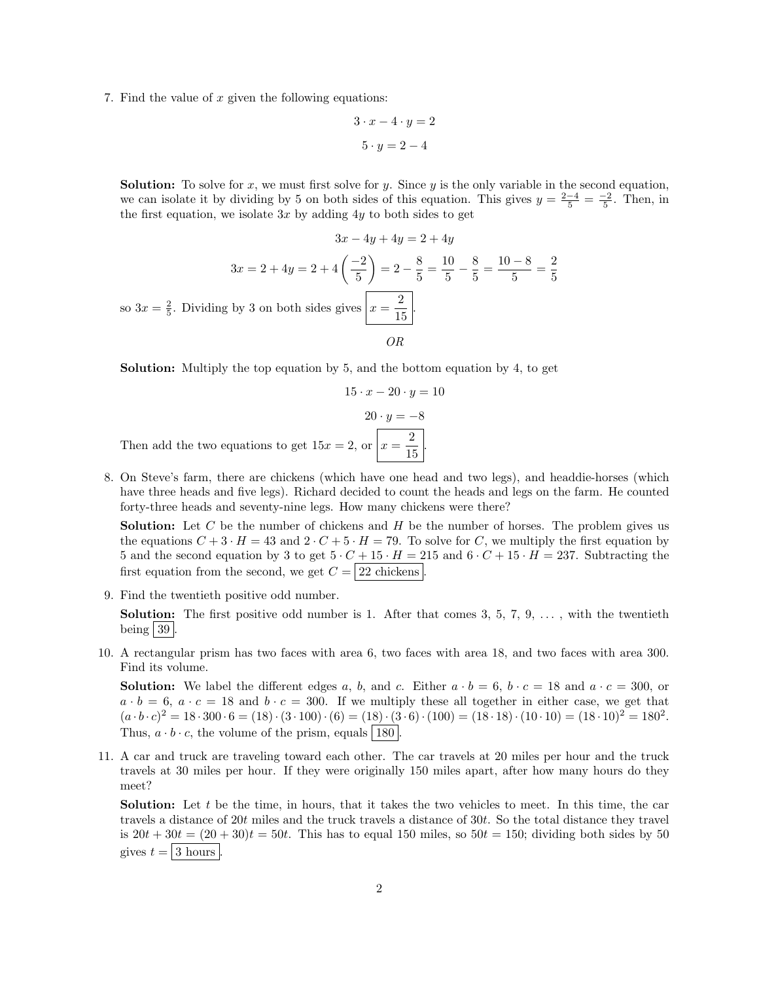7. Find the value of  $x$  given the following equations:

$$
3 \cdot x - 4 \cdot y = 2
$$

$$
5 \cdot y = 2 - 4
$$

**Solution:** To solve for x, we must first solve for y. Since y is the only variable in the second equation, we can isolate it by dividing by 5 on both sides of this equation. This gives  $y = \frac{2-4}{5} = \frac{-2}{5}$ . Then, in the first equation, we isolate  $3x$  by adding  $4y$  to both sides to get

$$
3x - 4y + 4y = 2 + 4y
$$
  

$$
3x = 2 + 4y = 2 + 4\left(\frac{-2}{5}\right) = 2 - \frac{8}{5} = \frac{10}{5} - \frac{8}{5} = \frac{10 - 8}{5} = \frac{2}{5}
$$
  
to 
$$
3x = \frac{2}{5}.
$$
 Dividing by 3 on both sides gives  $x = \frac{2}{15}$ .

Solution: Multiply the top equation by 5, and the bottom equation by 4, to get

 $15 \cdot x - 20 \cdot y = 10$  $20 \cdot y = -8$ Then add the two equations to get  $15x = 2$ , or  $x = \frac{2}{15}$  $rac{2}{15}$ .

8. On Steve's farm, there are chickens (which have one head and two legs), and headdie-horses (which have three heads and five legs). Richard decided to count the heads and legs on the farm. He counted forty-three heads and seventy-nine legs. How many chickens were there?

**Solution:** Let C be the number of chickens and  $H$  be the number of horses. The problem gives us the equations  $C + 3 \cdot H = 43$  and  $2 \cdot C + 5 \cdot H = 79$ . To solve for C, we multiply the first equation by 5 and the second equation by 3 to get  $5 \cdot C + 15 \cdot H = 215$  and  $6 \cdot C + 15 \cdot H = 237$ . Subtracting the first equation from the second, we get  $C = 22$  chickens

9. Find the twentieth positive odd number.

 $\overline{\rm s}$ 

**Solution:** The first positive odd number is 1. After that comes 3, 5, 7, 9,  $\dots$ , with the twentieth being  $39$ .

10. A rectangular prism has two faces with area 6, two faces with area 18, and two faces with area 300. Find its volume.

**Solution:** We label the different edges a, b, and c. Either  $a \cdot b = 6$ ,  $b \cdot c = 18$  and  $a \cdot c = 300$ , or  $a \cdot b = 6$ ,  $a \cdot c = 18$  and  $b \cdot c = 300$ . If we multiply these all together in either case, we get that  $(a \cdot b \cdot c)^2 = 18 \cdot 300 \cdot 6 = (18) \cdot (3 \cdot 100) \cdot (6) = (18) \cdot (3 \cdot 6) \cdot (100) = (18 \cdot 18) \cdot (10 \cdot 10) = (18 \cdot 10)^2 = 180^2.$ Thus,  $a \cdot b \cdot c$ , the volume of the prism, equals 180

11. A car and truck are traveling toward each other. The car travels at 20 miles per hour and the truck travels at 30 miles per hour. If they were originally 150 miles apart, after how many hours do they meet?

Solution: Let t be the time, in hours, that it takes the two vehicles to meet. In this time, the car travels a distance of 20t miles and the truck travels a distance of 30t. So the total distance they travel is  $20t + 30t = (20 + 30)t = 50t$ . This has to equal 150 miles, so  $50t = 150$ ; dividing both sides by 50 gives  $t = |3 \text{ hours}|$ .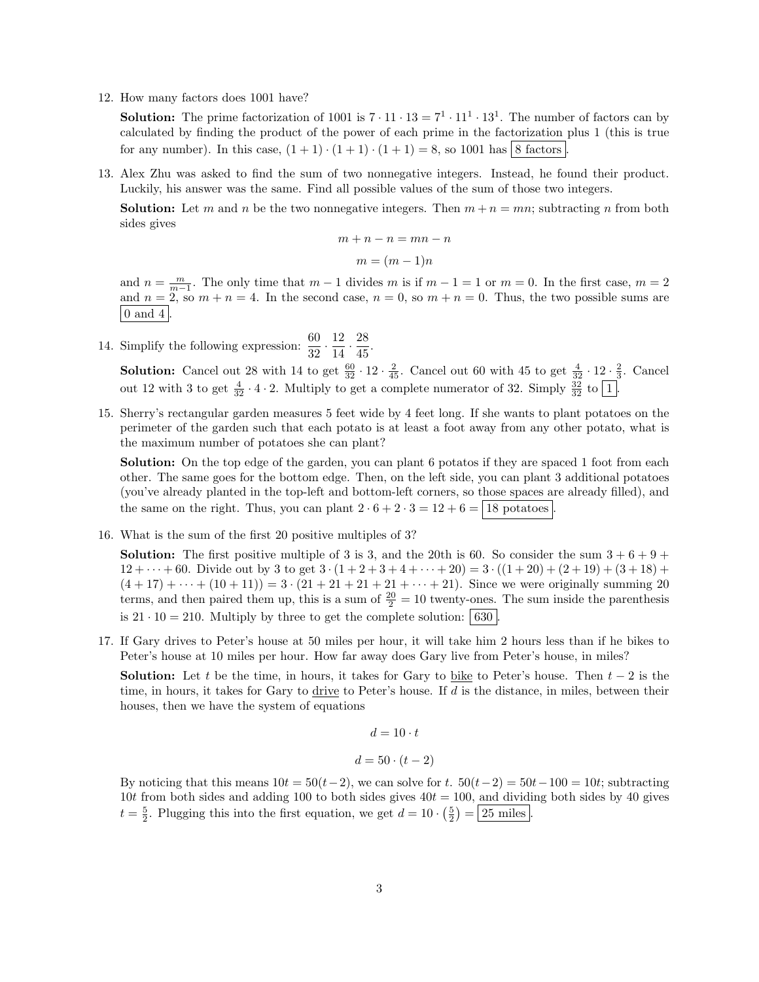12. How many factors does 1001 have?

**Solution:** The prime factorization of 1001 is  $7 \cdot 11 \cdot 13 = 7^1 \cdot 11^1 \cdot 13^1$ . The number of factors can by calculated by finding the product of the power of each prime in the factorization plus 1 (this is true for any number). In this case,  $(1 + 1) \cdot (1 + 1) \cdot (1 + 1) = 8$ , so 1001 has 8 factors

13. Alex Zhu was asked to find the sum of two nonnegative integers. Instead, he found their product. Luckily, his answer was the same. Find all possible values of the sum of those two integers.

**Solution:** Let m and n be the two nonnegative integers. Then  $m + n = mn$ ; subtracting n from both sides gives

$$
m + n - n = mn - n
$$

$$
m = (m - 1)n
$$

and  $n = \frac{m}{m-1}$ . The only time that  $m-1$  divides m is if  $m-1 = 1$  or  $m = 0$ . In the first case,  $m = 2$ and  $n = 2$ , so  $m + n = 4$ . In the second case,  $n = 0$ , so  $m + n = 0$ . Thus, the two possible sums are  $\vert 0 \text{ and } 4 \vert$ 

14. Simplify the following expression:  $\frac{60}{32} \cdot \frac{12}{14}$  $\frac{12}{14} \cdot \frac{28}{45}$  $\frac{20}{45}$ .

**Solution:** Cancel out 28 with 14 to get  $\frac{60}{32} \cdot 12 \cdot \frac{2}{45}$ . Cancel out 60 with 45 to get  $\frac{4}{32} \cdot 12 \cdot \frac{2}{3}$ . Cancel out 12 with 3 to get  $\frac{4}{32} \cdot 4 \cdot 2$ . Multiply to get a complete numerator of 32. Simply  $\frac{32}{32}$  to  $\boxed{1}$ .

15. Sherry's rectangular garden measures 5 feet wide by 4 feet long. If she wants to plant potatoes on the perimeter of the garden such that each potato is at least a foot away from any other potato, what is the maximum number of potatoes she can plant?

Solution: On the top edge of the garden, you can plant 6 potatos if they are spaced 1 foot from each other. The same goes for the bottom edge. Then, on the left side, you can plant 3 additional potatoes (you've already planted in the top-left and bottom-left corners, so those spaces are already filled), and the same on the right. Thus, you can plant  $2 \cdot 6 + 2 \cdot 3 = 12 + 6 = 18$  potatoes

16. What is the sum of the first 20 positive multiples of 3?

**Solution:** The first positive multiple of 3 is 3, and the 20th is 60. So consider the sum  $3 + 6 + 9 + 1$  $12 + \cdots + 60$ . Divide out by 3 to get  $3 \cdot (1 + 2 + 3 + 4 + \cdots + 20) = 3 \cdot ((1 + 20) + (2 + 19) + (3 + 18) +$  $(4+17)+\cdots+(10+11)=3\cdot(21+21+21+21+\cdots+21)$ . Since we were originally summing 20 terms, and then paired them up, this is a sum of  $\frac{20}{2} = 10$  twenty-ones. The sum inside the parenthesis is  $21 \cdot 10 = 210$ . Multiply by three to get the complete solution: 630.

17. If Gary drives to Peter's house at 50 miles per hour, it will take him 2 hours less than if he bikes to Peter's house at 10 miles per hour. How far away does Gary live from Peter's house, in miles?

**Solution:** Let t be the time, in hours, it takes for Gary to bike to Peter's house. Then  $t - 2$  is the time, in hours, it takes for Gary to drive to Peter's house. If  $d$  is the distance, in miles, between their houses, then we have the system of equations

$$
d = 10 \cdot t
$$

$$
d = 50 \cdot (t - 2)
$$

By noticing that this means  $10t = 50(t-2)$ , we can solve for t.  $50(t-2) = 50t-100 = 10t$ ; subtracting 10t from both sides and adding 100 to both sides gives  $40t = 100$ , and dividing both sides by 40 gives  $t = \frac{5}{2}$ . Plugging this into the first equation, we get  $d = 10 \cdot \left(\frac{5}{2}\right) = 25$  miles.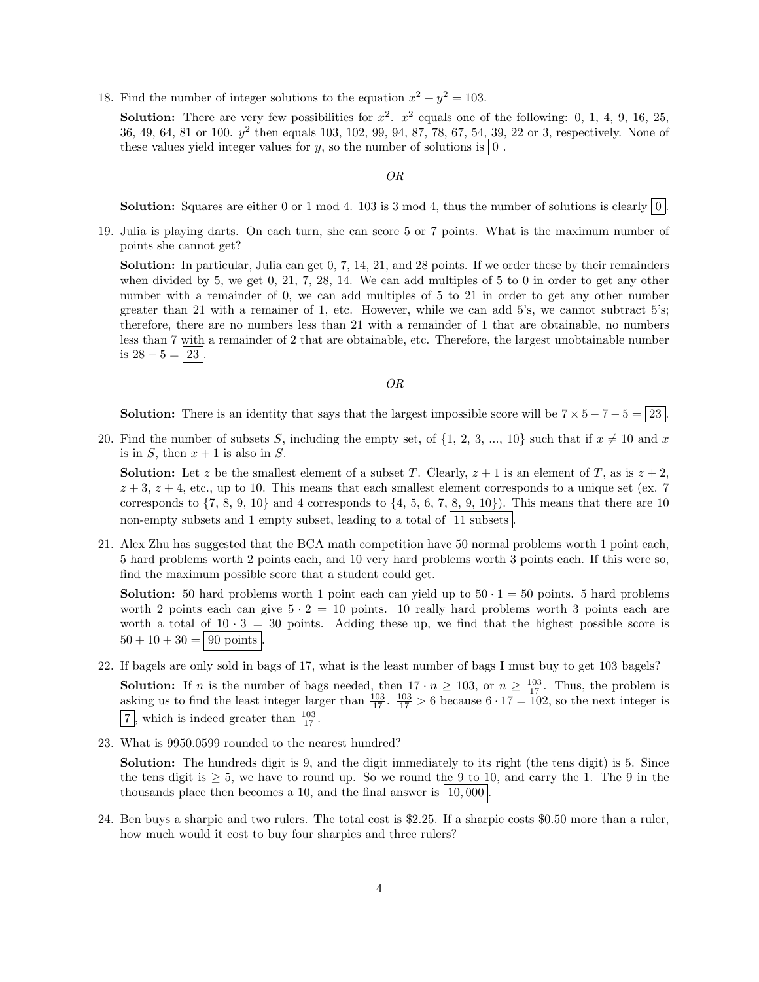18. Find the number of integer solutions to the equation  $x^2 + y^2 = 103$ .

**Solution:** There are very few possibilities for  $x^2$ .  $x^2$  equals one of the following: 0, 1, 4, 9, 16, 25, 36, 49, 64, 81 or 100.  $y^2$  then equals 103, 102, 99, 94, 87, 78, 67, 54, 39, 22 or 3, respectively. None of these values yield integer values for y, so the number of solutions is  $\vert 0 \vert$ .

OR

**Solution:** Squares are either 0 or 1 mod 4. 103 is 3 mod 4, thus the number of solutions is clearly  $\begin{bmatrix} 0 \end{bmatrix}$ .

19. Julia is playing darts. On each turn, she can score 5 or 7 points. What is the maximum number of points she cannot get?

Solution: In particular, Julia can get 0, 7, 14, 21, and 28 points. If we order these by their remainders when divided by 5, we get 0, 21, 7, 28, 14. We can add multiples of 5 to 0 in order to get any other number with a remainder of 0, we can add multiples of 5 to 21 in order to get any other number greater than 21 with a remainer of 1, etc. However, while we can add 5's, we cannot subtract 5's; therefore, there are no numbers less than 21 with a remainder of 1 that are obtainable, no numbers less than 7 with a remainder of 2 that are obtainable, etc. Therefore, the largest unobtainable number is  $28 - 5 = 23$ .

#### OR

**Solution:** There is an identity that says that the largest impossible score will be  $7 \times 5 - 7 - 5 = 23$ .

20. Find the number of subsets S, including the empty set, of  $\{1, 2, 3, ..., 10\}$  such that if  $x \neq 10$  and x is in S, then  $x + 1$  is also in S.

**Solution:** Let z be the smallest element of a subset T. Clearly,  $z + 1$  is an element of T, as is  $z + 2$ ,  $z + 3$ ,  $z + 4$ , etc., up to 10. This means that each smallest element corresponds to a unique set (ex. 7) corresponds to  $\{7, 8, 9, 10\}$  and 4 corresponds to  $\{4, 5, 6, 7, 8, 9, 10\}$ . This means that there are 10 non-empty subsets and 1 empty subset, leading to a total of  $|11$  subsets

21. Alex Zhu has suggested that the BCA math competition have 50 normal problems worth 1 point each, 5 hard problems worth 2 points each, and 10 very hard problems worth 3 points each. If this were so, find the maximum possible score that a student could get.

**Solution:** 50 hard problems worth 1 point each can yield up to  $50 \cdot 1 = 50$  points. 5 hard problems worth 2 points each can give  $5 \cdot 2 = 10$  points. 10 really hard problems worth 3 points each are worth a total of  $10 \cdot 3 = 30$  points. Adding these up, we find that the highest possible score is  $50 + 10 + 30 = |90 \text{ points}|$ 

22. If bagels are only sold in bags of 17, what is the least number of bags I must buy to get 103 bagels?

**Solution:** If *n* is the number of bags needed, then  $17 \cdot n \ge 103$ , or  $n \ge \frac{103}{17}$ . Thus, the problem is asking us to find the least integer larger than  $\frac{103}{17}$ .  $\frac{103}{17}$  > 6 because 6 · 17 = 102, so the next integer is  $\frac{7}{17}$ , which is indeed greater than  $\frac{103}{17}$ .

23. What is 9950.0599 rounded to the nearest hundred?

Solution: The hundreds digit is 9, and the digit immediately to its right (the tens digit) is 5. Since the tens digit is  $\geq 5$ , we have to round up. So we round the 9 to 10, and carry the 1. The 9 in the thousands place then becomes a 10, and the final answer is  $|10,000|$ 

24. Ben buys a sharpie and two rulers. The total cost is \$2.25. If a sharpie costs \$0.50 more than a ruler, how much would it cost to buy four sharpies and three rulers?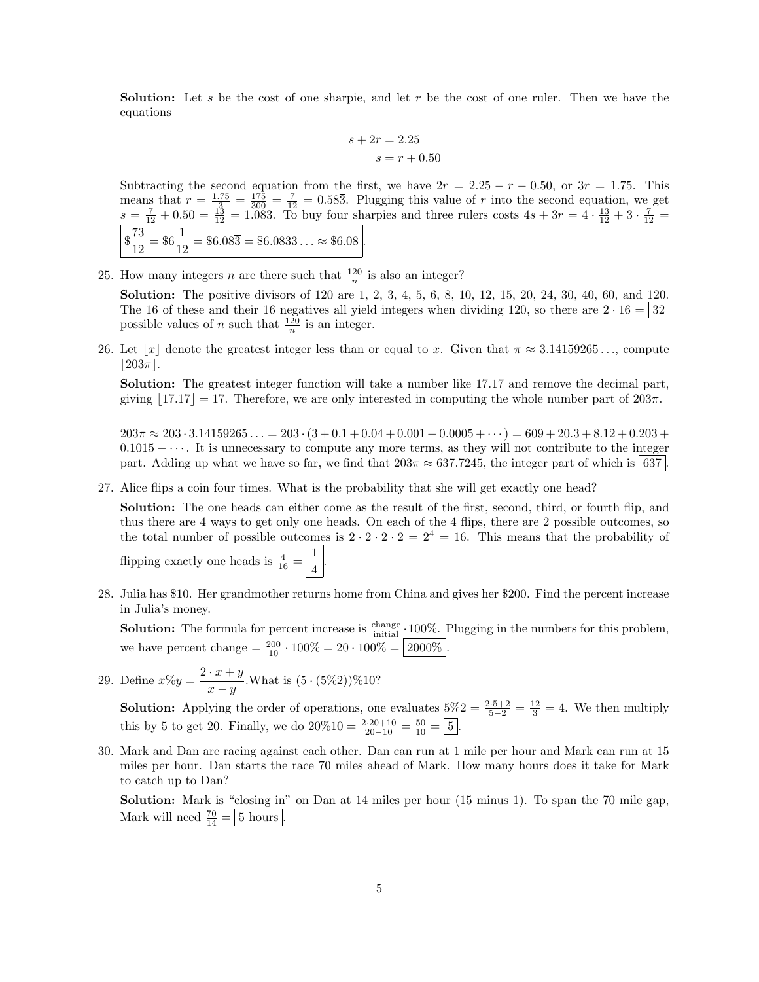**Solution:** Let s be the cost of one sharpie, and let r be the cost of one ruler. Then we have the equations

$$
s + 2r = 2.25
$$

$$
s = r + 0.50
$$

Subtracting the second equation from the first, we have  $2r = 2.25 - r - 0.50$ , or  $3r = 1.75$ . This means that  $r = \frac{1.75}{.3} = \frac{175}{300} = \frac{7}{12} = 0.58\overline{3}$ . Plugging this value of r into the second equation, we get  $s = \frac{7}{12} + 0.50 = \frac{13}{12} = 1.08\overline{3}$ . To buy four sharpies and three rulers costs  $4s + 3r = 4 \cdot \frac{13}{12} + 3 \cdot \frac{7}{12} =$  $\frac{73}{10}$  $\frac{73}{12} = $6\frac{1}{12} = $6.08\overline{3} = $6.0833... \approx $6.08$ .

25. How many integers *n* are there such that  $\frac{120}{n}$  is also an integer?

**Solution:** The positive divisors of 120 are 1, 2, 3, 4, 5, 6, 8, 10, 12, 15, 20, 24, 30, 40, 60, and 120. The 16 of these and their 16 negatives all yield integers when dividing 120, so there are  $2 \cdot 16 = |32|$ possible values of *n* such that  $\frac{120}{n}$  is an integer.

26. Let  $\lfloor x \rfloor$  denote the greatest integer less than or equal to x. Given that  $\pi \approx 3.14159265...$ , compute  $|203\pi|$ .

Solution: The greatest integer function will take a number like 17.17 and remove the decimal part, giving  $|17.17| = 17$ . Therefore, we are only interested in computing the whole number part of  $203\pi$ .

 $203\pi \approx 203 \cdot 3.14159265... = 203 \cdot (3 + 0.1 + 0.04 + 0.001 + 0.0005 + \cdots) = 609 + 20.3 + 8.12 + 0.203 +$  $0.1015 + \cdots$ . It is unnecessary to compute any more terms, as they will not contribute to the integer part. Adding up what we have so far, we find that  $203\pi \approx 637.7245$ , the integer part of which is 637.

27. Alice flips a coin four times. What is the probability that she will get exactly one head?

Solution: The one heads can either come as the result of the first, second, third, or fourth flip, and thus there are 4 ways to get only one heads. On each of the 4 flips, there are 2 possible outcomes, so the total number of possible outcomes is  $2 \cdot 2 \cdot 2 \cdot 2 = 2^4 = 16$ . This means that the probability of flipping exactly one heads is  $\frac{4}{16} = \frac{1}{4}$ 4 .

28. Julia has \$10. Her grandmother returns home from China and gives her \$200. Find the percent increase in Julia's money.

**Solution:** The formula for percent increase is  $\frac{\text{change}}{\text{initial}} \cdot 100\%$ . Plugging in the numbers for this problem, we have percent change  $=$   $\frac{200}{10} \cdot 100\% = 20 \cdot 100\% = 2000\%$ .

29. Define  $x\%y = \frac{2 \cdot x + y}{y}$  $\frac{x+y}{x-y}$ . What is  $(5 \cdot (5\%)2\%)210?$ 

**Solution:** Applying the order of operations, one evaluates  $5\%2 = \frac{2 \cdot 5 + 2}{5 - 2} = \frac{12}{3} = 4$ . We then multiply this by 5 to get 20. Finally, we do  $20\%10 = \frac{2 \cdot 20 + 10}{20 - 10} = \frac{50}{10} = \boxed{5}$ .

30. Mark and Dan are racing against each other. Dan can run at 1 mile per hour and Mark can run at 15 miles per hour. Dan starts the race 70 miles ahead of Mark. How many hours does it take for Mark to catch up to Dan?

Solution: Mark is "closing in" on Dan at 14 miles per hour (15 minus 1). To span the 70 mile gap, Mark will need  $\frac{70}{14} = \boxed{5 \text{ hours}}$ .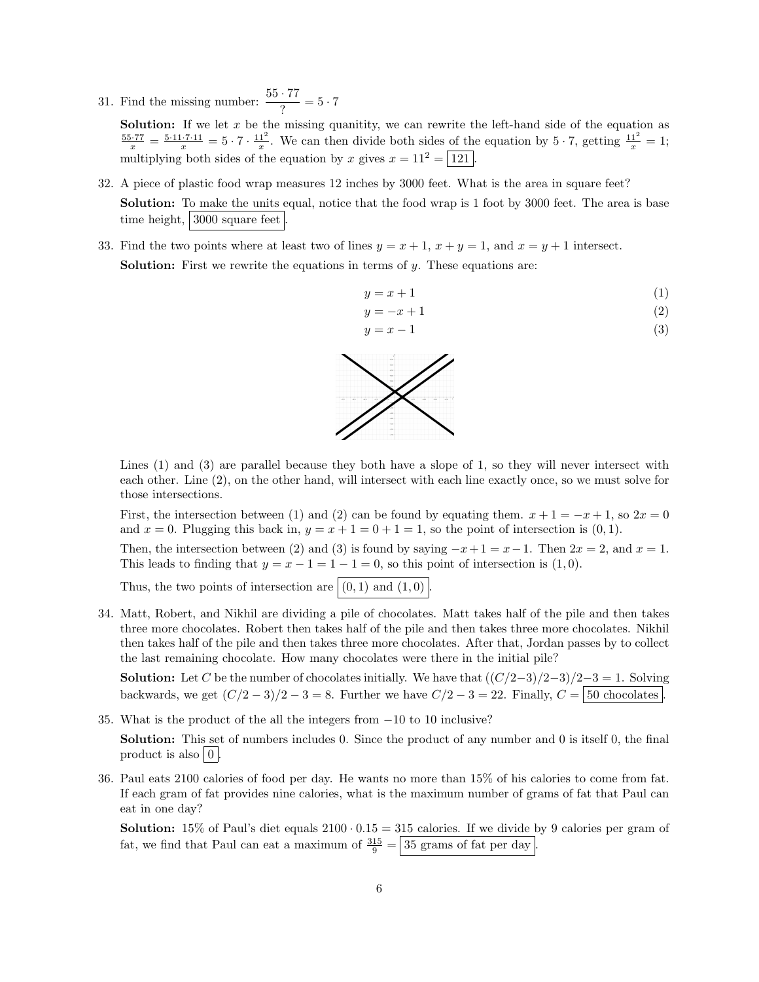31. Find the missing number:  $\frac{55 \cdot 77}{?} = 5 \cdot 7$ 

**Solution:** If we let  $x$  be the missing quanitity, we can rewrite the left-hand side of the equation as  $\frac{55.77}{x} = \frac{5.11.7.11}{x} = 5 \cdot 7 \cdot \frac{11^2}{x}$ . We can then divide both sides of the equation by  $5 \cdot 7$ , getting  $\frac{11^2}{x} = 1$ ; multiplying both sides of the equation by x gives  $x = 11^2 = \boxed{121}$ .

- 32. A piece of plastic food wrap measures 12 inches by 3000 feet. What is the area in square feet? Solution: To make the units equal, notice that the food wrap is 1 foot by 3000 feet. The area is base time height, 3000 square feet
- 33. Find the two points where at least two of lines  $y = x + 1$ ,  $x + y = 1$ , and  $x = y + 1$  intersect. **Solution:** First we rewrite the equations in terms of  $y$ . These equations are:

$$
y = x + 1 \tag{1}
$$

$$
y = -x + 1\tag{2}
$$

$$
y = x - 1 \tag{3}
$$



Lines (1) and (3) are parallel because they both have a slope of 1, so they will never intersect with each other. Line (2), on the other hand, will intersect with each line exactly once, so we must solve for those intersections.

First, the intersection between (1) and (2) can be found by equating them.  $x + 1 = -x + 1$ , so  $2x = 0$ and  $x = 0$ . Plugging this back in,  $y = x + 1 = 0 + 1 = 1$ , so the point of intersection is  $(0, 1)$ .

Then, the intersection between (2) and (3) is found by saying  $-x+1 = x-1$ . Then  $2x = 2$ , and  $x = 1$ . This leads to finding that  $y = x - 1 = 1 - 1 = 0$ , so this point of intersection is  $(1, 0)$ .

Thus, the two points of intersection are  $|(0,1)$  and  $(1,0)$ .

34. Matt, Robert, and Nikhil are dividing a pile of chocolates. Matt takes half of the pile and then takes three more chocolates. Robert then takes half of the pile and then takes three more chocolates. Nikhil then takes half of the pile and then takes three more chocolates. After that, Jordan passes by to collect the last remaining chocolate. How many chocolates were there in the initial pile?

**Solution:** Let C be the number of chocolates initially. We have that  $((C/2-3)/2-3)/2-3=1$ . Solving backwards, we get  $(C/2-3)/2-3=8$ . Further we have  $C/2-3=22$ . Finally,  $C = \boxed{50 \text{ chocolates}}$ 

35. What is the product of the all the integers from −10 to 10 inclusive?

Solution: This set of numbers includes 0. Since the product of any number and 0 is itself 0, the final product is also  $\vert 0 \vert$ .

36. Paul eats 2100 calories of food per day. He wants no more than 15% of his calories to come from fat. If each gram of fat provides nine calories, what is the maximum number of grams of fat that Paul can eat in one day?

**Solution:** 15% of Paul's diet equals  $2100 \cdot 0.15 = 315$  calories. If we divide by 9 calories per gram of fat, we find that Paul can eat a maximum of  $\frac{315}{9} = 35$  grams of fat per day.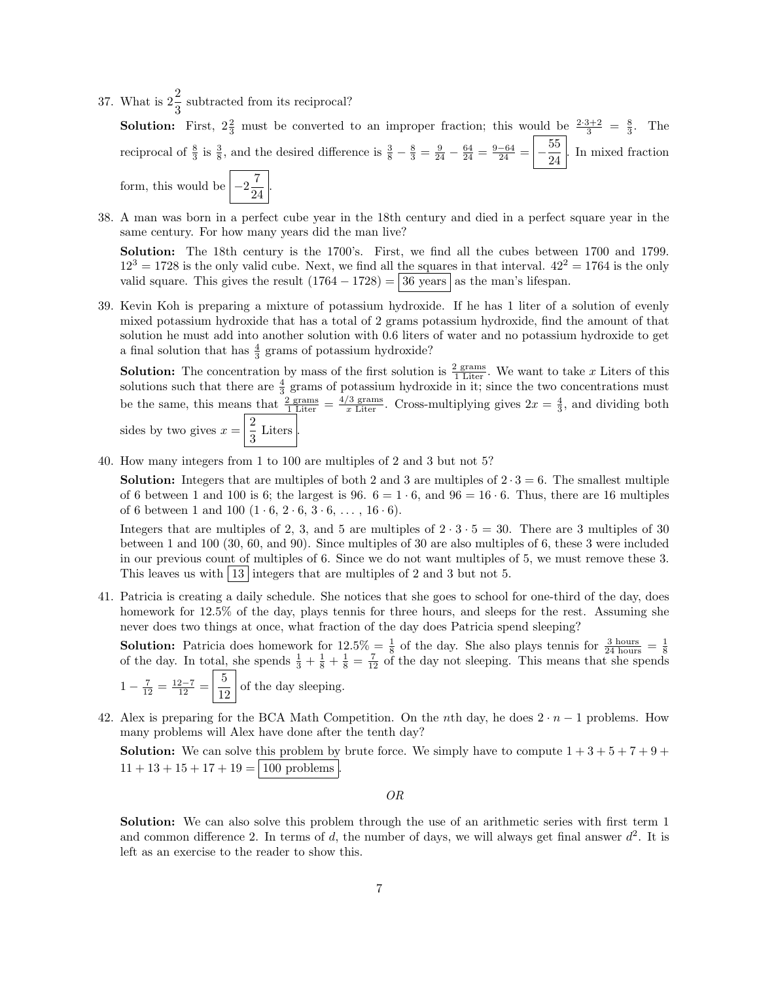37. What is  $2\frac{2}{3}$  subtracted from its reciprocal?

**Solution:** First,  $2\frac{2}{3}$  must be converted to an improper fraction; this would be  $\frac{2\cdot3+2}{3} = \frac{8}{3}$ . The reciprocal of  $\frac{8}{3}$  is  $\frac{3}{8}$ , and the desired difference is  $\frac{3}{8} - \frac{8}{3} = \frac{9}{24} - \frac{64}{24} = \frac{9-64}{24} = \left(-\frac{55}{24}\right)$  $\frac{36}{24}$ . In mixed fraction form, this would be  $\left[-2\frac{7}{2}\right]$  $\frac{1}{24}$ 

38. A man was born in a perfect cube year in the 18th century and died in a perfect square year in the same century. For how many years did the man live?

Solution: The 18th century is the 1700's. First, we find all the cubes between 1700 and 1799.  $12<sup>3</sup> = 1728$  is the only valid cube. Next, we find all the squares in that interval.  $42<sup>2</sup> = 1764$  is the only valid square. This gives the result  $(1764 - 1728) = 36$  years as the man's lifespan.

39. Kevin Koh is preparing a mixture of potassium hydroxide. If he has 1 liter of a solution of evenly mixed potassium hydroxide that has a total of 2 grams potassium hydroxide, find the amount of that solution he must add into another solution with 0.6 liters of water and no potassium hydroxide to get a final solution that has  $\frac{4}{3}$  grams of potassium hydroxide?

**Solution:** The concentration by mass of the first solution is  $\frac{2 \text{ grams}}{1 \text{ Liter}}$ . We want to take x Liters of this solutions such that there are  $\frac{4}{3}$  grams of potassium hydroxide in it; since the two concentrations must be the same, this means that  $\frac{2 \text{ grams}}{1 \text{ Liter}} = \frac{4/3 \text{ grams}}{x \text{ Liter}}$ . Cross-multiplying gives  $2x = \frac{4}{3}$ , and dividing both sides by two gives  $x = \frac{2}{3}$  $rac{1}{3}$  Liters  $\Big\vert$ .

40. How many integers from 1 to 100 are multiples of 2 and 3 but not 5?

**Solution:** Integers that are multiples of both 2 and 3 are multiples of  $2 \cdot 3 = 6$ . The smallest multiple of 6 between 1 and 100 is 6; the largest is 96.  $6 = 1 \cdot 6$ , and  $96 = 16 \cdot 6$ . Thus, there are 16 multiples of 6 between 1 and 100  $(1 \cdot 6, 2 \cdot 6, 3 \cdot 6, \ldots, 16 \cdot 6)$ .

Integers that are multiples of 2, 3, and 5 are multiples of  $2 \cdot 3 \cdot 5 = 30$ . There are 3 multiples of 30 between 1 and 100 (30, 60, and 90). Since multiples of 30 are also multiples of 6, these 3 were included in our previous count of multiples of 6. Since we do not want multiples of 5, we must remove these 3. This leaves us with  $|13|$  integers that are multiples of 2 and 3 but not 5.

41. Patricia is creating a daily schedule. She notices that she goes to school for one-third of the day, does homework for 12.5% of the day, plays tennis for three hours, and sleeps for the rest. Assuming she never does two things at once, what fraction of the day does Patricia spend sleeping?

**Solution:** Patricia does homework for  $12.5\% = \frac{1}{8}$  of the day. She also plays tennis for  $\frac{3 \text{ hours}}{24 \text{ hours}} = \frac{1}{8}$  of the day. In total, she spends  $\frac{1}{3} + \frac{1}{8} + \frac{1}{8} = \frac{7}{12}$  of the day not sleeping. This m  $1-\frac{7}{12}=\frac{12-7}{12}=\frac{5}{19}$  $\frac{3}{12}$  of the day sleeping.

42. Alex is preparing for the BCA Math Competition. On the nth day, he does  $2 \cdot n - 1$  problems. How many problems will Alex have done after the tenth day?

**Solution:** We can solve this problem by brute force. We simply have to compute  $1 + 3 + 5 + 7 + 9 + 1$  $11 + 13 + 15 + 17 + 19 = |100 \text{ problems}|.$ 

OR

Solution: We can also solve this problem through the use of an arithmetic series with first term 1 and common difference 2. In terms of d, the number of days, we will always get final answer  $d^2$ . It is left as an exercise to the reader to show this.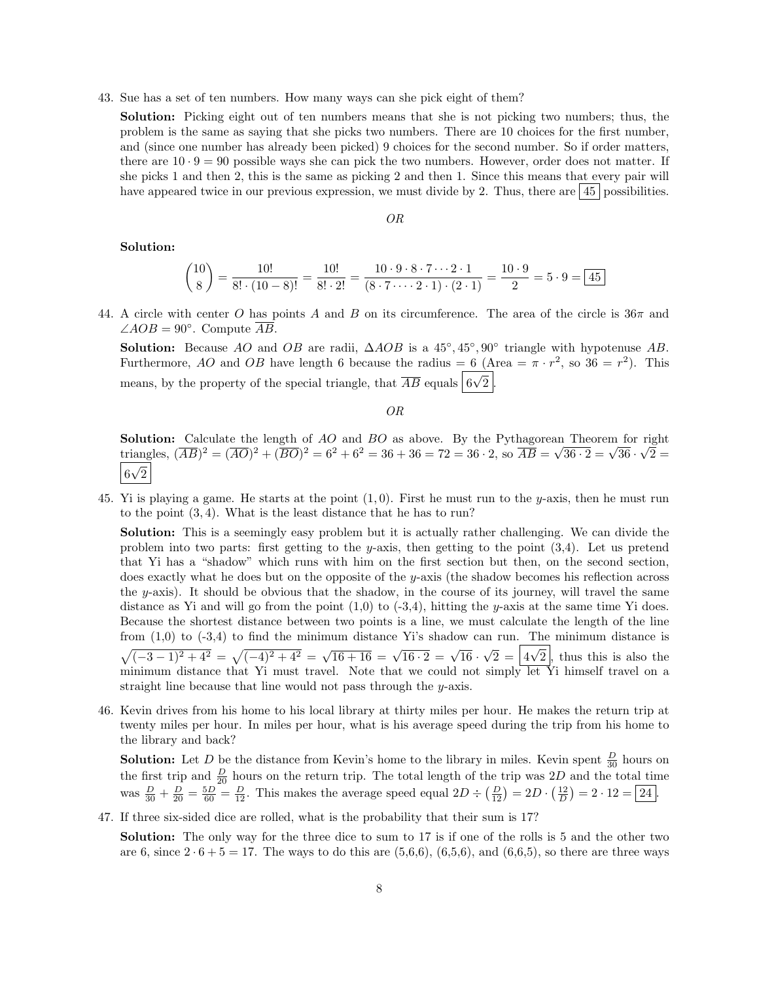43. Sue has a set of ten numbers. How many ways can she pick eight of them?

Solution: Picking eight out of ten numbers means that she is not picking two numbers; thus, the problem is the same as saying that she picks two numbers. There are 10 choices for the first number, and (since one number has already been picked) 9 choices for the second number. So if order matters, there are  $10 \cdot 9 = 90$  possible ways she can pick the two numbers. However, order does not matter. If she picks 1 and then 2, this is the same as picking 2 and then 1. Since this means that every pair will have appeared twice in our previous expression, we must divide by 2. Thus, there are  $\left|45\right|$  possibilities.

#### OR

#### Solution:

$$
\binom{10}{8} = \frac{10!}{8! \cdot (10-8)!} = \frac{10!}{8! \cdot 2!} = \frac{10 \cdot 9 \cdot 8 \cdot 7 \cdots 2 \cdot 1}{(8 \cdot 7 \cdots 2 \cdot 1) \cdot (2 \cdot 1)} = \frac{10 \cdot 9}{2} = 5 \cdot 9 = \boxed{45}
$$

44. A circle with center O has points A and B on its circumference. The area of the circle is  $36\pi$  and  $\angle AOB = 90^\circ$ . Compute  $\overline{AB}$ .

Solution: Because AO and OB are radii,  $\triangle AOB$  is a 45°, 45°, 90° triangle with hypotenuse AB. Furthermore, AO and OB have length 6 because the radius = 6 (Area =  $\pi \cdot r^2$ , so  $36 = r^2$ ). This means, by the property of the special triangle, that  $\overline{AB}$  equals  $\boxed{6}$ √  $2$  .

OR

**Solution:** Calculate the length of AO and BO as above. By the Pythagorean Theorem for right **Solution:** Calculate the length of AO and BO as above. By the Pythagorean Theorem for right triangles,  $(\overline{AB})^2 = (\overline{AO})^2 + (\overline{BO})^2 = 6^2 + 6^2 = 36 + 36 = 72 = 36 \cdot 2$ , so  $\overline{AB} = \sqrt{36 \cdot 2} = \sqrt{36} \cdot \sqrt{2} =$ 6 √ 2

45. Yi is playing a game. He starts at the point  $(1, 0)$ . First he must run to the y-axis, then he must run to the point (3, 4). What is the least distance that he has to run?

Solution: This is a seemingly easy problem but it is actually rather challenging. We can divide the problem into two parts: first getting to the y-axis, then getting to the point  $(3,4)$ . Let us pretend that Yi has a "shadow" which runs with him on the first section but then, on the second section, does exactly what he does but on the opposite of the y-axis (the shadow becomes his reflection across the y-axis). It should be obvious that the shadow, in the course of its journey, will travel the same distance as Yi and will go from the point  $(1,0)$  to  $(-3,4)$ , hitting the y-axis at the same time Yi does. Because the shortest distance between two points is a line, we must calculate the length of the line from  $(1,0)$  to  $(-3,4)$  to find the minimum distance Yi's shadow can run. The minimum distance is  $\sqrt{(-3-1)^2+4^2} = \sqrt{(-4)^2+4^2} = \sqrt{16+16} = \sqrt{16\cdot 2} = \sqrt{16}$ √  $2 = |4$ √ 2 , thus this is also the minimum distance that Yi must travel. Note that we could not simply let Yi himself travel on a straight line because that line would not pass through the y-axis.

46. Kevin drives from his home to his local library at thirty miles per hour. He makes the return trip at twenty miles per hour. In miles per hour, what is his average speed during the trip from his home to the library and back?

**Solution:** Let D be the distance from Kevin's home to the library in miles. Kevin spent  $\frac{D}{30}$  hours on the first trip and  $\frac{D}{20}$  hours on the return trip. The total length of the trip was 2D and the total time was  $\frac{D}{30} + \frac{D}{20} = \frac{5D}{60} = \frac{D}{12}$ . This makes the average speed equal  $2D \div (\frac{D}{12}) = 2D \cdot (\frac{12}{D}) = 2 \cdot 12 = 24$ .

47. If three six-sided dice are rolled, what is the probability that their sum is 17?

Solution: The only way for the three dice to sum to 17 is if one of the rolls is 5 and the other two are 6, since  $2 \cdot 6 + 5 = 17$ . The ways to do this are  $(5,6,6)$ ,  $(6,5,6)$ , and  $(6,6,5)$ , so there are three ways